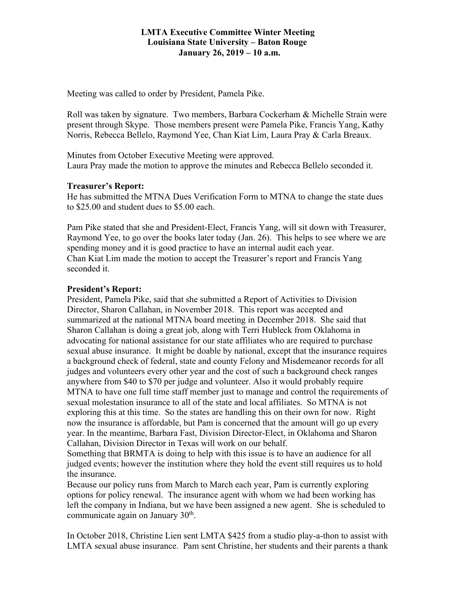#### **LMTA Executive Committee Winter Meeting Louisiana State University – Baton Rouge January 26, 2019 – 10 a.m.**

Meeting was called to order by President, Pamela Pike.

Roll was taken by signature. Two members, Barbara Cockerham & Michelle Strain were present through Skype. Those members present were Pamela Pike, Francis Yang, Kathy Norris, Rebecca Bellelo, Raymond Yee, Chan Kiat Lim, Laura Pray & Carla Breaux.

Minutes from October Executive Meeting were approved. Laura Pray made the motion to approve the minutes and Rebecca Bellelo seconded it.

#### **Treasurer's Report:**

He has submitted the MTNA Dues Verification Form to MTNA to change the state dues to \$25.00 and student dues to \$5.00 each.

Pam Pike stated that she and President-Elect, Francis Yang, will sit down with Treasurer, Raymond Yee, to go over the books later today (Jan. 26). This helps to see where we are spending money and it is good practice to have an internal audit each year. Chan Kiat Lim made the motion to accept the Treasurer's report and Francis Yang seconded it.

#### **President's Report:**

President, Pamela Pike, said that she submitted a Report of Activities to Division Director, Sharon Callahan, in November 2018. This report was accepted and summarized at the national MTNA board meeting in December 2018. She said that Sharon Callahan is doing a great job, along with Terri Hubleck from Oklahoma in advocating for national assistance for our state affiliates who are required to purchase sexual abuse insurance. It might be doable by national, except that the insurance requires a background check of federal, state and county Felony and Misdemeanor records for all judges and volunteers every other year and the cost of such a background check ranges anywhere from \$40 to \$70 per judge and volunteer. Also it would probably require MTNA to have one full time staff member just to manage and control the requirements of sexual molestation insurance to all of the state and local affiliates. So MTNA is not exploring this at this time. So the states are handling this on their own for now. Right now the insurance is affordable, but Pam is concerned that the amount will go up every year. In the meantime, Barbara Fast, Division Director-Elect, in Oklahoma and Sharon Callahan, Division Director in Texas will work on our behalf.

Something that BRMTA is doing to help with this issue is to have an audience for all judged events; however the institution where they hold the event still requires us to hold the insurance.

Because our policy runs from March to March each year, Pam is currently exploring options for policy renewal. The insurance agent with whom we had been working has left the company in Indiana, but we have been assigned a new agent. She is scheduled to communicate again on January 30<sup>th</sup>.

In October 2018, Christine Lien sent LMTA \$425 from a studio play-a-thon to assist with LMTA sexual abuse insurance. Pam sent Christine, her students and their parents a thank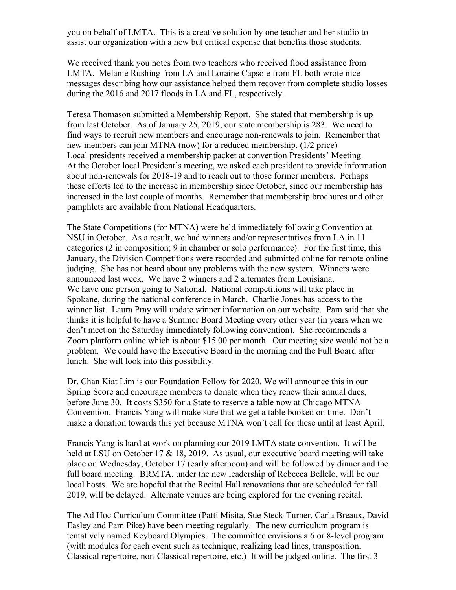you on behalf of LMTA. This is a creative solution by one teacher and her studio to assist our organization with a new but critical expense that benefits those students.

We received thank you notes from two teachers who received flood assistance from LMTA. Melanie Rushing from LA and Loraine Capsole from FL both wrote nice messages describing how our assistance helped them recover from complete studio losses during the 2016 and 2017 floods in LA and FL, respectively.

Teresa Thomason submitted a Membership Report. She stated that membership is up from last October. As of January 25, 2019, our state membership is 283. We need to find ways to recruit new members and encourage non-renewals to join. Remember that new members can join MTNA (now) for a reduced membership. (1/2 price) Local presidents received a membership packet at convention Presidents' Meeting. At the October local President's meeting, we asked each president to provide information about non-renewals for 2018-19 and to reach out to those former members. Perhaps these efforts led to the increase in membership since October, since our membership has increased in the last couple of months. Remember that membership brochures and other pamphlets are available from National Headquarters.

The State Competitions (for MTNA) were held immediately following Convention at NSU in October. As a result, we had winners and/or representatives from LA in 11 categories (2 in composition; 9 in chamber or solo performance). For the first time, this January, the Division Competitions were recorded and submitted online for remote online judging. She has not heard about any problems with the new system. Winners were announced last week. We have 2 winners and 2 alternates from Louisiana. We have one person going to National. National competitions will take place in Spokane, during the national conference in March. Charlie Jones has access to the winner list. Laura Pray will update winner information on our website. Pam said that she thinks it is helpful to have a Summer Board Meeting every other year (in years when we don't meet on the Saturday immediately following convention). She recommends a Zoom platform online which is about \$15.00 per month. Our meeting size would not be a problem. We could have the Executive Board in the morning and the Full Board after lunch. She will look into this possibility.

Dr. Chan Kiat Lim is our Foundation Fellow for 2020. We will announce this in our Spring Score and encourage members to donate when they renew their annual dues, before June 30. It costs \$350 for a State to reserve a table now at Chicago MTNA Convention. Francis Yang will make sure that we get a table booked on time. Don't make a donation towards this yet because MTNA won't call for these until at least April.

Francis Yang is hard at work on planning our 2019 LMTA state convention. It will be held at LSU on October 17 & 18, 2019. As usual, our executive board meeting will take place on Wednesday, October 17 (early afternoon) and will be followed by dinner and the full board meeting. BRMTA, under the new leadership of Rebecca Bellelo, will be our local hosts. We are hopeful that the Recital Hall renovations that are scheduled for fall 2019, will be delayed. Alternate venues are being explored for the evening recital.

The Ad Hoc Curriculum Committee (Patti Misita, Sue Steck-Turner, Carla Breaux, David Easley and Pam Pike) have been meeting regularly. The new curriculum program is tentatively named Keyboard Olympics. The committee envisions a 6 or 8-level program (with modules for each event such as technique, realizing lead lines, transposition, Classical repertoire, non-Classical repertoire, etc.) It will be judged online. The first 3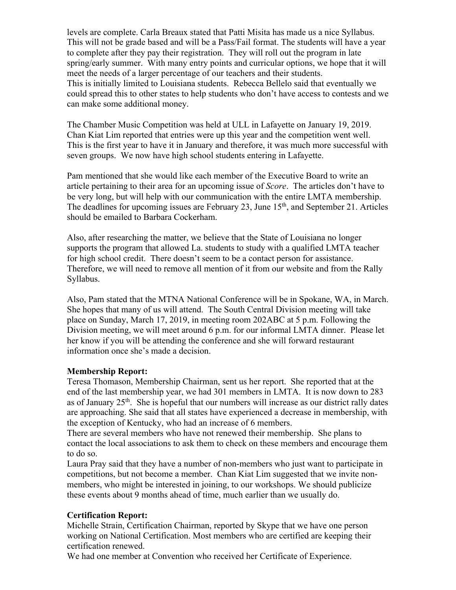levels are complete. Carla Breaux stated that Patti Misita has made us a nice Syllabus. This will not be grade based and will be a Pass/Fail format. The students will have a year to complete after they pay their registration. They will roll out the program in late spring/early summer. With many entry points and curricular options, we hope that it will meet the needs of a larger percentage of our teachers and their students. This is initially limited to Louisiana students. Rebecca Bellelo said that eventually we could spread this to other states to help students who don't have access to contests and we can make some additional money.

The Chamber Music Competition was held at ULL in Lafayette on January 19, 2019. Chan Kiat Lim reported that entries were up this year and the competition went well. This is the first year to have it in January and therefore, it was much more successful with seven groups. We now have high school students entering in Lafayette.

Pam mentioned that she would like each member of the Executive Board to write an article pertaining to their area for an upcoming issue of *Score*. The articles don't have to be very long, but will help with our communication with the entire LMTA membership. The deadlines for upcoming issues are February 23, June 15<sup>th</sup>, and September 21. Articles should be emailed to Barbara Cockerham.

Also, after researching the matter, we believe that the State of Louisiana no longer supports the program that allowed La. students to study with a qualified LMTA teacher for high school credit. There doesn't seem to be a contact person for assistance. Therefore, we will need to remove all mention of it from our website and from the Rally Syllabus.

Also, Pam stated that the MTNA National Conference will be in Spokane, WA, in March. She hopes that many of us will attend. The South Central Division meeting will take place on Sunday, March 17, 2019, in meeting room 202ABC at 5 p.m. Following the Division meeting, we will meet around 6 p.m. for our informal LMTA dinner. Please let her know if you will be attending the conference and she will forward restaurant information once she's made a decision.

## **Membership Report:**

Teresa Thomason, Membership Chairman, sent us her report. She reported that at the end of the last membership year, we had 301 members in LMTA. It is now down to 283 as of January  $25<sup>th</sup>$ . She is hopeful that our numbers will increase as our district rally dates are approaching. She said that all states have experienced a decrease in membership, with the exception of Kentucky, who had an increase of 6 members.

There are several members who have not renewed their membership. She plans to contact the local associations to ask them to check on these members and encourage them to do so.

Laura Pray said that they have a number of non-members who just want to participate in competitions, but not become a member. Chan Kiat Lim suggested that we invite nonmembers, who might be interested in joining, to our workshops. We should publicize these events about 9 months ahead of time, much earlier than we usually do.

## **Certification Report:**

Michelle Strain, Certification Chairman, reported by Skype that we have one person working on National Certification. Most members who are certified are keeping their certification renewed.

We had one member at Convention who received her Certificate of Experience.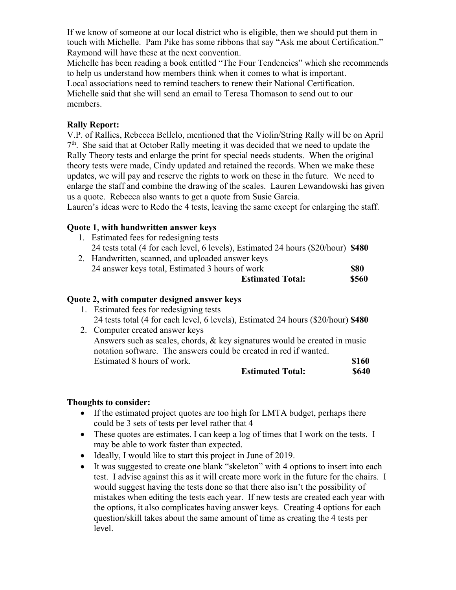If we know of someone at our local district who is eligible, then we should put them in touch with Michelle. Pam Pike has some ribbons that say "Ask me about Certification." Raymond will have these at the next convention.

Michelle has been reading a book entitled "The Four Tendencies" which she recommends to help us understand how members think when it comes to what is important.

Local associations need to remind teachers to renew their National Certification. Michelle said that she will send an email to Teresa Thomason to send out to our members.

#### **Rally Report:**

V.P. of Rallies, Rebecca Bellelo, mentioned that the Violin/String Rally will be on April  $7<sup>th</sup>$ . She said that at October Rally meeting it was decided that we need to update the Rally Theory tests and enlarge the print for special needs students. When the original theory tests were made, Cindy updated and retained the records. When we make these updates, we will pay and reserve the rights to work on these in the future. We need to enlarge the staff and combine the drawing of the scales. Lauren Lewandowski has given us a quote. Rebecca also wants to get a quote from Susie Garcia.

Lauren's ideas were to Redo the 4 tests, leaving the same except for enlarging the staff.

## **Quote 1**, **with handwritten answer keys**

- 1. Estimated fees for redesigning tests 24 tests total (4 for each level, 6 levels), Estimated 24 hours (\$20/hour) **\$480**
- 2. Handwritten, scanned, and uploaded answer keys 24 answer keys total, Estimated 3 hours of work **\$80**

|  | <b>Estimated Total:</b> | <b>\$560</b> |
|--|-------------------------|--------------|
|  |                         |              |

## **Quote 2, with computer designed answer keys**

1. Estimated fees for redesigning tests 24 tests total (4 for each level, 6 levels), Estimated 24 hours (\$20/hour) **\$480** 2. Computer created answer keys

 Answers such as scales, chords, & key signatures would be created in music notation software. The answers could be created in red if wanted. Estimated 8 hours of work. **\$160** 

| <b>Estimated Total:</b> | <b>\$640</b> |
|-------------------------|--------------|
|                         |              |

#### **Thoughts to consider:**

- If the estimated project quotes are too high for LMTA budget, perhaps there could be 3 sets of tests per level rather that 4
- These quotes are estimates. I can keep a log of times that I work on the tests. I may be able to work faster than expected.
- Ideally, I would like to start this project in June of 2019.
- It was suggested to create one blank "skeleton" with 4 options to insert into each test. I advise against this as it will create more work in the future for the chairs. I would suggest having the tests done so that there also isn't the possibility of mistakes when editing the tests each year. If new tests are created each year with the options, it also complicates having answer keys. Creating 4 options for each question/skill takes about the same amount of time as creating the 4 tests per level.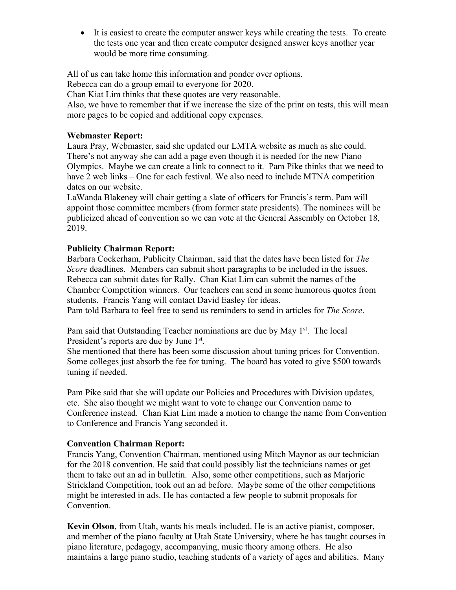• It is easiest to create the computer answer keys while creating the tests. To create the tests one year and then create computer designed answer keys another year would be more time consuming.

All of us can take home this information and ponder over options.

Rebecca can do a group email to everyone for 2020.

Chan Kiat Lim thinks that these quotes are very reasonable.

Also, we have to remember that if we increase the size of the print on tests, this will mean more pages to be copied and additional copy expenses.

## **Webmaster Report:**

Laura Pray, Webmaster, said she updated our LMTA website as much as she could. There's not anyway she can add a page even though it is needed for the new Piano Olympics. Maybe we can create a link to connect to it. Pam Pike thinks that we need to have 2 web links – One for each festival. We also need to include MTNA competition dates on our website.

LaWanda Blakeney will chair getting a slate of officers for Francis's term. Pam will appoint those committee members (from former state presidents). The nominees will be publicized ahead of convention so we can vote at the General Assembly on October 18, 2019.

# **Publicity Chairman Report:**

Barbara Cockerham, Publicity Chairman, said that the dates have been listed for *The Score* deadlines. Members can submit short paragraphs to be included in the issues. Rebecca can submit dates for Rally. Chan Kiat Lim can submit the names of the Chamber Competition winners. Our teachers can send in some humorous quotes from students. Francis Yang will contact David Easley for ideas.

Pam told Barbara to feel free to send us reminders to send in articles for *The Score*.

Pam said that Outstanding Teacher nominations are due by May 1<sup>st</sup>. The local President's reports are due by June 1<sup>st</sup>.

She mentioned that there has been some discussion about tuning prices for Convention. Some colleges just absorb the fee for tuning. The board has voted to give \$500 towards tuning if needed.

Pam Pike said that she will update our Policies and Procedures with Division updates, etc. She also thought we might want to vote to change our Convention name to Conference instead. Chan Kiat Lim made a motion to change the name from Convention to Conference and Francis Yang seconded it.

## **Convention Chairman Report:**

Francis Yang, Convention Chairman, mentioned using Mitch Maynor as our technician for the 2018 convention. He said that could possibly list the technicians names or get them to take out an ad in bulletin. Also, some other competitions, such as Marjorie Strickland Competition, took out an ad before. Maybe some of the other competitions might be interested in ads. He has contacted a few people to submit proposals for Convention.

**Kevin Olson**, from Utah, wants his meals included. He is an active pianist, composer, and member of the piano faculty at Utah State University, where he has taught courses in piano literature, pedagogy, accompanying, music theory among others. He also maintains a large piano studio, teaching students of a variety of ages and abilities. Many